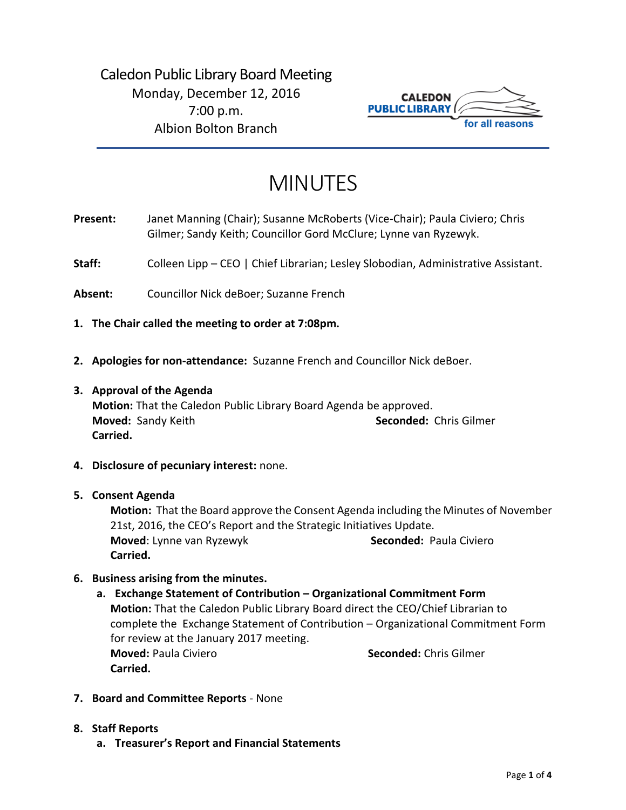

# MINUTES

**Present:** Janet Manning (Chair); Susanne McRoberts (Vice-Chair); Paula Civiero; Chris Gilmer; Sandy Keith; Councillor Gord McClure; Lynne van Ryzewyk.

Staff: Colleen Lipp – CEO | Chief Librarian; Lesley Slobodian, Administrative Assistant.

**Absent:** Councillor Nick deBoer; Suzanne French

- **1. The Chair called the meeting to order at 7:08pm.**
- **2. Apologies for non-attendance:** Suzanne French and Councillor Nick deBoer.
- **3. Approval of the Agenda Motion:** That the Caledon Public Library Board Agenda be approved. **Moved:** Sandy Keith **Seconded:** Chris Gilmer **Carried.**
- **4. Disclosure of pecuniary interest:** none.

### **5. Consent Agenda**

**Motion:** That the Board approve the Consent Agenda including the Minutes of November 21st, 2016, the CEO's Report and the Strategic Initiatives Update. **Moved**: Lynne van Ryzewyk **Seconded:** Paula Civiero **Carried.**

### **6. Business arising from the minutes.**

- **a. Exchange Statement of Contribution – Organizational Commitment Form Motion:** That the Caledon Public Library Board direct the CEO/Chief Librarian to complete the Exchange Statement of Contribution – Organizational Commitment Form for review at the January 2017 meeting. **Moved:** Paula Civiero **Seconded:** Chris Gilmer **Carried.**
- **7. Board and Committee Reports** None
- **8. Staff Reports**
	- **a. Treasurer's Report and Financial Statements**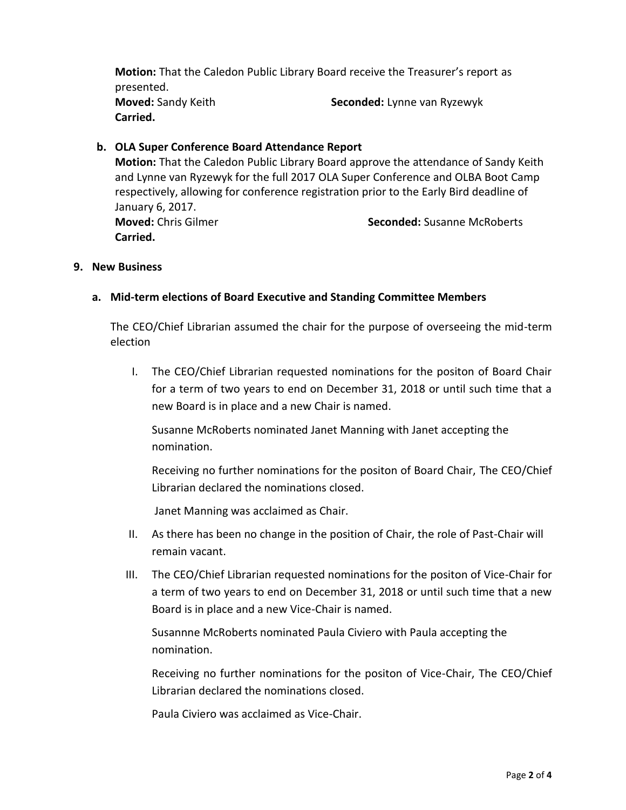**Motion:** That the Caledon Public Library Board receive the Treasurer's report as presented. **Moved:** Sandy Keith **Seconded:** Lynne van Ryzewyk **Carried.**

## **b. OLA Super Conference Board Attendance Report**

**Motion:** That the Caledon Public Library Board approve the attendance of Sandy Keith and Lynne van Ryzewyk for the full 2017 OLA Super Conference and OLBA Boot Camp respectively, allowing for conference registration prior to the Early Bird deadline of January 6, 2017. **Moved:** Chris Gilmer **Seconded:** Susanne McRoberts **Carried.** 

#### **9. New Business**

### **a. Mid-term elections of Board Executive and Standing Committee Members**

The CEO/Chief Librarian assumed the chair for the purpose of overseeing the mid-term election

I. The CEO/Chief Librarian requested nominations for the positon of Board Chair for a term of two years to end on December 31, 2018 or until such time that a new Board is in place and a new Chair is named.

Susanne McRoberts nominated Janet Manning with Janet accepting the nomination.

Receiving no further nominations for the positon of Board Chair, The CEO/Chief Librarian declared the nominations closed.

Janet Manning was acclaimed as Chair.

- II. As there has been no change in the position of Chair, the role of Past-Chair will remain vacant.
- III. The CEO/Chief Librarian requested nominations for the positon of Vice-Chair for a term of two years to end on December 31, 2018 or until such time that a new Board is in place and a new Vice-Chair is named.

Susannne McRoberts nominated Paula Civiero with Paula accepting the nomination.

Receiving no further nominations for the positon of Vice-Chair, The CEO/Chief Librarian declared the nominations closed.

Paula Civiero was acclaimed as Vice-Chair.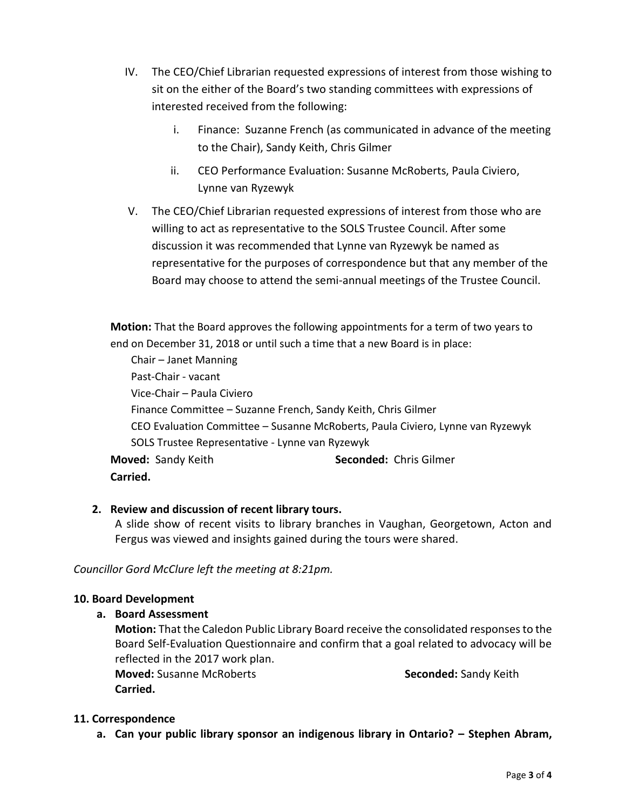- IV. The CEO/Chief Librarian requested expressions of interest from those wishing to sit on the either of the Board's two standing committees with expressions of interested received from the following:
	- i. Finance: Suzanne French (as communicated in advance of the meeting to the Chair), Sandy Keith, Chris Gilmer
	- ii. CEO Performance Evaluation: Susanne McRoberts, Paula Civiero, Lynne van Ryzewyk
- V. The CEO/Chief Librarian requested expressions of interest from those who are willing to act as representative to the SOLS Trustee Council. After some discussion it was recommended that Lynne van Ryzewyk be named as representative for the purposes of correspondence but that any member of the Board may choose to attend the semi-annual meetings of the Trustee Council.

**Motion:** That the Board approves the following appointments for a term of two years to end on December 31, 2018 or until such a time that a new Board is in place:

Chair – Janet Manning Past-Chair - vacant Vice-Chair – Paula Civiero Finance Committee – Suzanne French, Sandy Keith, Chris Gilmer CEO Evaluation Committee – Susanne McRoberts, Paula Civiero, Lynne van Ryzewyk SOLS Trustee Representative - Lynne van Ryzewyk **Moved:** Sandy Keith **Seconded:** Chris Gilmer **Carried.**

## **2. Review and discussion of recent library tours.**

A slide show of recent visits to library branches in Vaughan, Georgetown, Acton and Fergus was viewed and insights gained during the tours were shared.

*Councillor Gord McClure left the meeting at 8:21pm.*

### **10. Board Development**

**a. Board Assessment**

**Motion:** That the Caledon Public Library Board receive the consolidated responses to the Board Self-Evaluation Questionnaire and confirm that a goal related to advocacy will be reflected in the 2017 work plan.

**Moved:** Susanne McRoberts **Seconded:** Sandy Keith **Carried.** 

### **11. Correspondence**

**a. Can your public library sponsor an indigenous library in Ontario? – Stephen Abram,**